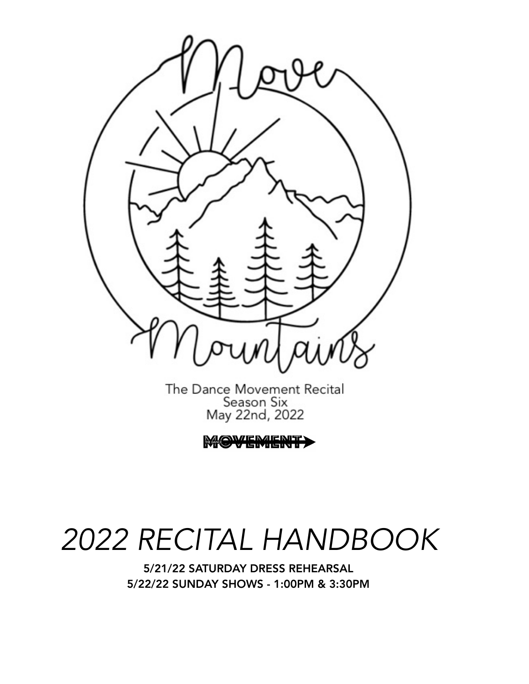

The Dance Movement Recital Season Six May 22nd, 2022

WEMENT

# *2022 RECITAL HANDBOOK*

5/21/22 SATURDAY DRESS REHEARSAL 5/22/22 SUNDAY SHOWS - 1:00PM & 3:30PM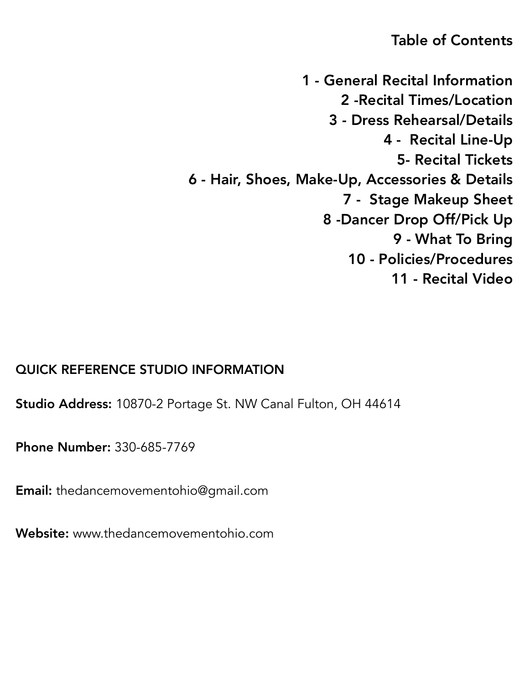## Table of Contents

1 - General Recital Information 2 -Recital Times/Location 3 - Dress Rehearsal/Details 4 - Recital Line-Up 5- Recital Tickets 6 - Hair, Shoes, Make-Up, Accessories & Details 7 - Stage Makeup Sheet 8 -Dancer Drop Off/Pick Up 9 - What To Bring 10 - Policies/Procedures 11 - Recital Video

## QUICK REFERENCE STUDIO INFORMATION

**Studio Address:** 10870-2 Portage St. NW Canal Fulton, OH 44614

Phone Number: 330-685-7769

Email: thedancemovementohio@gmail.com

Website: www.thedancemovementohio.com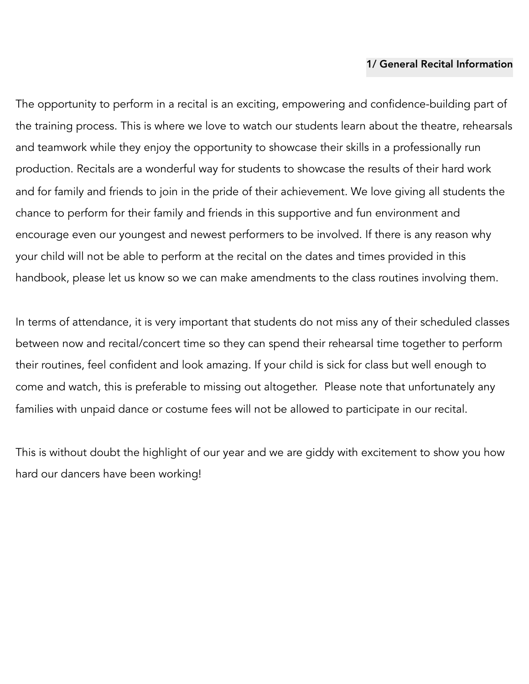#### 1/ General Recital Information

The opportunity to perform in a recital is an exciting, empowering and confidence-building part of the training process. This is where we love to watch our students learn about the theatre, rehearsals and teamwork while they enjoy the opportunity to showcase their skills in a professionally run production. Recitals are a wonderful way for students to showcase the results of their hard work and for family and friends to join in the pride of their achievement. We love giving all students the chance to perform for their family and friends in this supportive and fun environment and encourage even our youngest and newest performers to be involved. If there is any reason why your child will not be able to perform at the recital on the dates and times provided in this handbook, please let us know so we can make amendments to the class routines involving them.

In terms of attendance, it is very important that students do not miss any of their scheduled classes between now and recital/concert time so they can spend their rehearsal time together to perform their routines, feel confident and look amazing. If your child is sick for class but well enough to come and watch, this is preferable to missing out altogether. Please note that unfortunately any families with unpaid dance or costume fees will not be allowed to participate in our recital.

This is without doubt the highlight of our year and we are giddy with excitement to show you how hard our dancers have been working!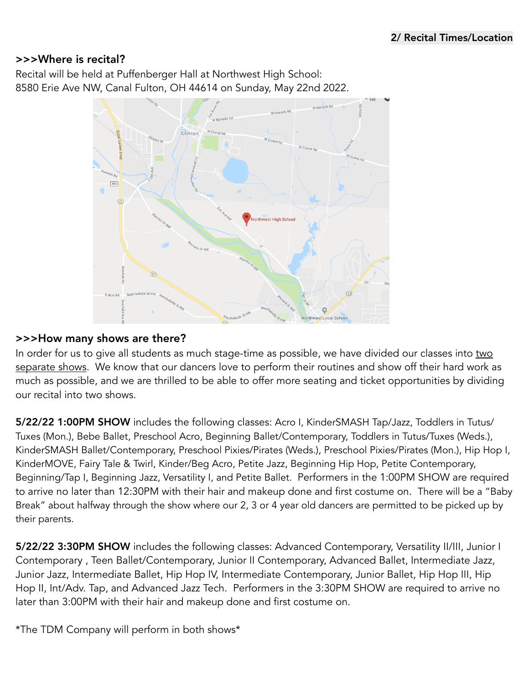#### >>>Where is recital?

Recital will be held at Puffenberger Hall at Northwest High School: 8580 Erie Ave NW, Canal Fulton, OH 44614 on Sunday, May 22nd 2022.



#### >>>How many shows are there?

In order for us to give all students as much stage-time as possible, we have divided our classes into two separate shows. We know that our dancers love to perform their routines and show off their hard work as much as possible, and we are thrilled to be able to offer more seating and ticket opportunities by dividing our recital into two shows.

5/22/22 1:00PM SHOW includes the following classes: Acro I, KinderSMASH Tap/Jazz, Toddlers in Tutus/ Tuxes (Mon.), Bebe Ballet, Preschool Acro, Beginning Ballet/Contemporary, Toddlers in Tutus/Tuxes (Weds.), KinderSMASH Ballet/Contemporary, Preschool Pixies/Pirates (Weds.), Preschool Pixies/Pirates (Mon.), Hip Hop I, KinderMOVE, Fairy Tale & Twirl, Kinder/Beg Acro, Petite Jazz, Beginning Hip Hop, Petite Contemporary, Beginning/Tap I, Beginning Jazz, Versatility I, and Petite Ballet. Performers in the 1:00PM SHOW are required to arrive no later than 12:30PM with their hair and makeup done and first costume on. There will be a "Baby Break" about halfway through the show where our 2, 3 or 4 year old dancers are permitted to be picked up by their parents.

5/22/22 3:30PM SHOW includes the following classes: Advanced Contemporary, Versatility II/III, Junior I Contemporary , Teen Ballet/Contemporary, Junior II Contemporary, Advanced Ballet, Intermediate Jazz, Junior Jazz, Intermediate Ballet, Hip Hop IV, Intermediate Contemporary, Junior Ballet, Hip Hop III, Hip Hop II, Int/Adv. Tap, and Advanced Jazz Tech. Performers in the 3:30PM SHOW are required to arrive no later than 3:00PM with their hair and makeup done and first costume on.

\*The TDM Company will perform in both shows\*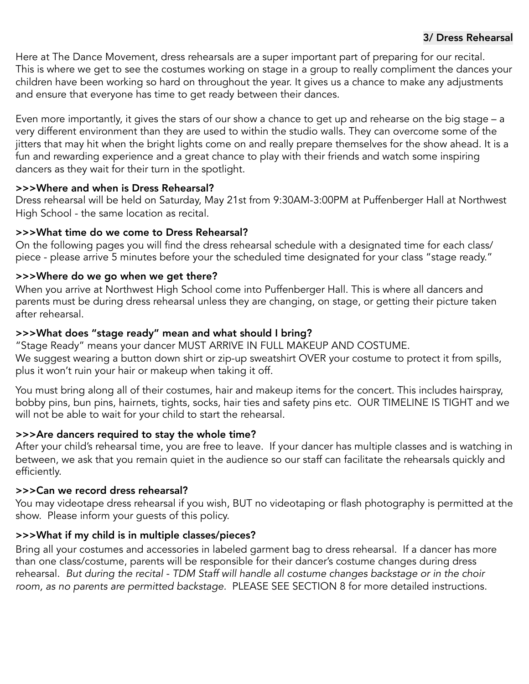#### 3/ Dress Rehearsal

Here at The Dance Movement, dress rehearsals are a super important part of preparing for our recital. This is where we get to see the costumes working on stage in a group to really compliment the dances your children have been working so hard on throughout the year. It gives us a chance to make any adjustments and ensure that everyone has time to get ready between their dances.

Even more importantly, it gives the stars of our show a chance to get up and rehearse on the big stage – a very different environment than they are used to within the studio walls. They can overcome some of the jitters that may hit when the bright lights come on and really prepare themselves for the show ahead. It is a fun and rewarding experience and a great chance to play with their friends and watch some inspiring dancers as they wait for their turn in the spotlight.

#### >>>Where and when is Dress Rehearsal?

Dress rehearsal will be held on Saturday, May 21st from 9:30AM-3:00PM at Puffenberger Hall at Northwest High School - the same location as recital.

#### >>>What time do we come to Dress Rehearsal?

On the following pages you will find the dress rehearsal schedule with a designated time for each class/ piece - please arrive 5 minutes before your the scheduled time designated for your class "stage ready."

#### >>>Where do we go when we get there?

When you arrive at Northwest High School come into Puffenberger Hall. This is where all dancers and parents must be during dress rehearsal unless they are changing, on stage, or getting their picture taken after rehearsal.

#### >>>What does "stage ready" mean and what should I bring?

"Stage Ready" means your dancer MUST ARRIVE IN FULL MAKEUP AND COSTUME. We suggest wearing a button down shirt or zip-up sweatshirt OVER your costume to protect it from spills, plus it won't ruin your hair or makeup when taking it off.

You must bring along all of their costumes, hair and makeup items for the concert. This includes hairspray, bobby pins, bun pins, hairnets, tights, socks, hair ties and safety pins etc. OUR TIMELINE IS TIGHT and we will not be able to wait for your child to start the rehearsal.

#### >>>Are dancers required to stay the whole time?

After your child's rehearsal time, you are free to leave. If your dancer has multiple classes and is watching in between, we ask that you remain quiet in the audience so our staff can facilitate the rehearsals quickly and efficiently.

#### >>>Can we record dress rehearsal?

You may videotape dress rehearsal if you wish, BUT no videotaping or flash photography is permitted at the show. Please inform your guests of this policy.

#### >>>What if my child is in multiple classes/pieces?

Bring all your costumes and accessories in labeled garment bag to dress rehearsal. If a dancer has more than one class/costume, parents will be responsible for their dancer's costume changes during dress rehearsal. *But during the recital - TDM Staff will handle all costume changes backstage or in the choir room, as no parents are permitted backstage.* PLEASE SEE SECTION 8 for more detailed instructions.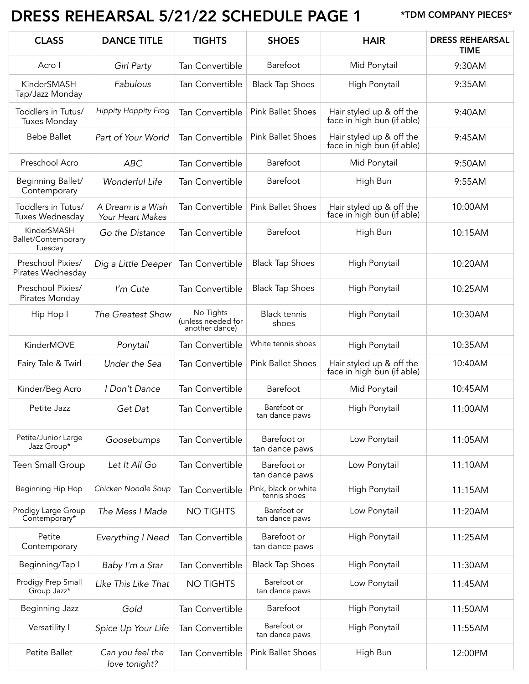# DRESS REHEARSAL 5/21/22 SCHEDULE PAGE 1 \*TDM COMPANY PIECES\*

| <b>CLASS</b>                                  | <b>DANCE TITLE</b>                    | <b>TIGHTS</b>                                     | <b>SHOES</b>                         | <b>HAIR</b>                                            | <b>DRESS REHEARSAL</b><br><b>TIME</b> |
|-----------------------------------------------|---------------------------------------|---------------------------------------------------|--------------------------------------|--------------------------------------------------------|---------------------------------------|
| Acro I                                        | Girl Party                            | Tan Convertible                                   | Barefoot                             | Mid Ponytail                                           | 9:30AM                                |
| KinderSMASH<br>Tap/Jazz Monday                | Fabulous                              | Tan Convertible                                   | <b>Black Tap Shoes</b>               | High Ponytail                                          | 9:35AM                                |
| Toddlers in Tutus/<br><b>Tuxes Monday</b>     | <b>Hippity Hoppity Frog</b>           | <b>Tan Convertible</b>                            | <b>Pink Ballet Shoes</b>             | Hair styled up & off the<br>face in high bun (if able) | 9:40AM                                |
| <b>Bebe Ballet</b>                            | Part of Your World                    | Tan Convertible                                   | <b>Pink Ballet Shoes</b>             | Hair styled up & off the<br>face in high bun (if able) | 9:45AM                                |
| Preschool Acro                                | ABC                                   | <b>Tan Convertible</b>                            | Barefoot                             | Mid Ponytail                                           | 9:50AM                                |
| Beginning Ballet/<br>Contemporary             | Wonderful Life                        | <b>Tan Convertible</b>                            | Barefoot                             | High Bun                                               | 9:55AM                                |
| Toddlers in Tutus/<br>Tuxes Wednesday         | A Dream is a Wish<br>Your Heart Makes | <b>Tan Convertible</b>                            | <b>Pink Ballet Shoes</b>             | Hair styled up & off the<br>face in high bun (if able) | 10:00AM                               |
| KinderSMASH<br>Ballet/Contemporary<br>Tuesday | Go the Distance                       | Tan Convertible                                   | Barefoot                             | High Bun                                               | 10:15AM                               |
| Preschool Pixies/<br>Pirates Wednesday        | Dig a Little Deeper                   | Tan Convertible                                   | <b>Black Tap Shoes</b>               | High Ponytail                                          | 10:20AM                               |
| Preschool Pixies/<br>Pirates Monday           | I'm Cute                              | <b>Tan Convertible</b>                            | <b>Black Tap Shoes</b>               | High Ponytail                                          | 10:25AM                               |
| Hip Hop I                                     | The Greatest Show                     | No Tights<br>(unless needed for<br>another dance) | <b>Black tennis</b><br>shoes         | High Ponytail                                          | 10:30AM                               |
| KinderMOVE                                    | Ponytail                              | <b>Tan Convertible</b>                            | White tennis shoes                   | High Ponytail                                          | 10:35AM                               |
| Fairy Tale & Twirl                            | Under the Sea                         | Tan Convertible                                   | <b>Pink Ballet Shoes</b>             | Hair styled up & off the<br>face in high bun (if able) | 10:40AM                               |
| Kinder/Beg Acro                               | I Don't Dance                         | <b>Tan Convertible</b>                            | Barefoot                             | Mid Ponytail                                           | 10:45AM                               |
| Petite Jazz                                   | Get Dat                               | Tan Convertible                                   | Barefoot or<br>tan dance paws        | High Ponytail                                          | 11:00AM                               |
| Petite/Junior Large<br>Jazz Group*            | Goosebumps                            | Tan Convertible                                   | Barefoot or<br>tan dance paws        | Low Ponytail                                           | 11:05AM                               |
| Teen Small Group                              | Let It All Go                         | <b>Tan Convertible</b>                            | Barefoot or<br>tan dance paws        | Low Ponytail                                           | 11:10AM                               |
| Beginning Hip Hop                             | Chicken Noodle Soup                   | Tan Convertible                                   | Pink, black or white<br>tennis shoes | High Ponytail                                          | 11:15AM                               |
| Prodigy Large Group<br>Contemporary*          | The Mess I Made                       | <b>NO TIGHTS</b>                                  | Barefoot or<br>tan dance paws        | Low Ponytail                                           | 11:20AM                               |
| Petite<br>Contemporary                        | Everything I Need                     | Tan Convertible                                   | Barefoot or<br>tan dance paws        | High Ponytail                                          | 11:25AM                               |
| Beginning/Tap I                               | Baby I'm a Star                       | Tan Convertible                                   | <b>Black Tap Shoes</b>               | High Ponytail                                          | 11:30AM                               |
| Prodigy Prep Small<br>Group Jazz*             | Like This Like That                   | <b>NO TIGHTS</b>                                  | Barefoot or<br>tan dance paws        | Low Ponytail                                           | 11:45AM                               |
| Beginning Jazz                                | Gold                                  | <b>Tan Convertible</b>                            | Barefoot                             | High Ponytail                                          | 11:50AM                               |
| Versatility I                                 | Spice Up Your Life                    | Tan Convertible                                   | Barefoot or<br>tan dance paws        | High Ponytail                                          | 11:55AM                               |
| Petite Ballet                                 | Can you feel the<br>love tonight?     | Tan Convertible                                   | <b>Pink Ballet Shoes</b>             | High Bun                                               | 12:00PM                               |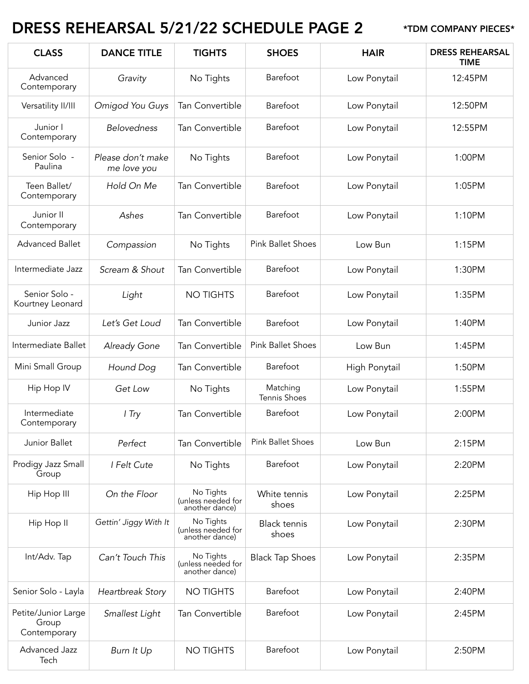# DRESS REHEARSAL 5/21/22 SCHEDULE PAGE 2 \*TDM COMPANY PIECES\*

| <b>CLASS</b>                                 | <b>DANCE TITLE</b>               | <b>TIGHTS</b>                                     | <b>SHOES</b>                 | <b>HAIR</b>   | <b>DRESS REHEARSAL</b><br><b>TIME</b> |
|----------------------------------------------|----------------------------------|---------------------------------------------------|------------------------------|---------------|---------------------------------------|
| Advanced<br>Contemporary                     | Gravity                          | No Tights                                         | Barefoot                     | Low Ponytail  | 12:45PM                               |
| Versatility II/III                           | Omigod You Guys                  | <b>Tan Convertible</b>                            | Barefoot                     | Low Ponytail  | 12:50PM                               |
| Junior I<br>Contemporary                     | <b>Belovedness</b>               | Tan Convertible                                   | Barefoot                     | Low Ponytail  | 12:55PM                               |
| Senior Solo -<br>Paulina                     | Please don't make<br>me love you | No Tights                                         | Barefoot                     | Low Ponytail  | 1:00PM                                |
| Teen Ballet/<br>Contemporary                 | Hold On Me                       | Tan Convertible                                   | Barefoot                     | Low Ponytail  | 1:05PM                                |
| Junior II<br>Contemporary                    | Ashes                            | Tan Convertible                                   | Barefoot                     | Low Ponytail  | 1:10PM                                |
| <b>Advanced Ballet</b>                       | Compassion                       | No Tights                                         | <b>Pink Ballet Shoes</b>     | Low Bun       | 1:15PM                                |
| Intermediate Jazz                            | Scream & Shout                   | Tan Convertible                                   | Barefoot                     | Low Ponytail  | 1:30PM                                |
| Senior Solo -<br>Kourtney Leonard            | Light                            | <b>NO TIGHTS</b>                                  | Barefoot                     | Low Ponytail  | 1:35PM                                |
| Junior Jazz                                  | Let's Get Loud                   | Tan Convertible                                   | Barefoot                     | Low Ponytail  | 1:40PM                                |
| Intermediate Ballet                          | Already Gone                     | Tan Convertible                                   | <b>Pink Ballet Shoes</b>     | Low Bun       | 1:45PM                                |
| Mini Small Group                             | Hound Dog                        | Tan Convertible                                   | Barefoot                     | High Ponytail | 1:50PM                                |
| Hip Hop IV                                   | Get Low                          | No Tights                                         | Matching<br>Tennis Shoes     | Low Ponytail  | 1:55PM                                |
| Intermediate<br>Contemporary                 | I Try                            | Tan Convertible                                   | Barefoot                     | Low Ponytail  | 2:00PM                                |
| Junior Ballet                                | Perfect                          | Tan Convertible                                   | <b>Pink Ballet Shoes</b>     | Low Bun       | 2:15PM                                |
| Prodigy Jazz Small<br>Group                  | I Felt Cute                      | No Tights                                         | Barefoot                     | Low Ponytail  | 2:20PM                                |
| Hip Hop III                                  | On the Floor                     | No Tights<br>(unless needed for<br>another dance) | White tennis<br>shoes        | Low Ponytail  | 2:25PM                                |
| Hip Hop II                                   | Gettin' Jiggy With It            | No Tights<br>(unless needed for<br>another dance) | <b>Black tennis</b><br>shoes | Low Ponytail  | 2:30PM                                |
| Int/Adv. Tap                                 | Can't Touch This                 | No Tights<br>(unless needed for<br>another dance) | <b>Black Tap Shoes</b>       | Low Ponytail  | 2:35PM                                |
| Senior Solo - Layla                          | Heartbreak Story                 | <b>NO TIGHTS</b>                                  | Barefoot                     | Low Ponytail  | 2:40PM                                |
| Petite/Junior Large<br>Group<br>Contemporary | Smallest Light                   | Tan Convertible                                   | Barefoot                     | Low Ponytail  | 2:45PM                                |
| Advanced Jazz<br>Tech                        | Burn It Up                       | <b>NO TIGHTS</b>                                  | Barefoot                     | Low Ponytail  | 2:50PM                                |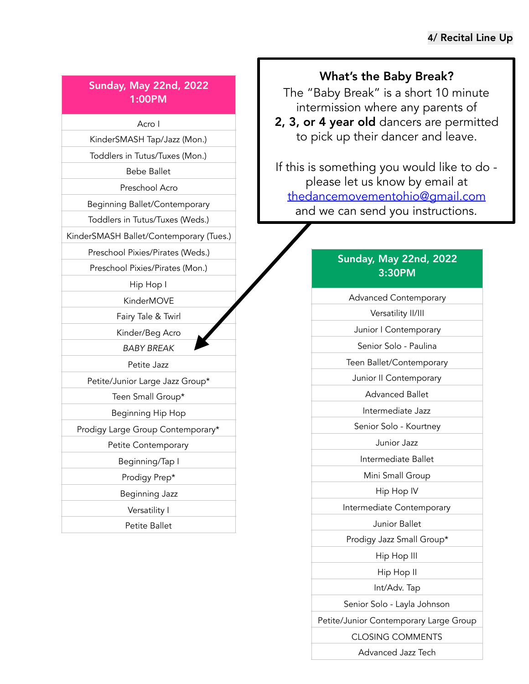#### Sunday, May 22nd, 2022 1:00PM

Acro I

KinderSMASH Tap/Jazz (Mon.)

Toddlers in Tutus/Tuxes (Mon.)

Bebe Ballet

Preschool Acro

Beginning Ballet/Contemporary

Toddlers in Tutus/Tuxes (Weds.)

KinderSMASH Ballet/Contemporary (Tues.)

Preschool Pixies/Pirates (Weds.)

Preschool Pixies/Pirates (Mon.)

Hip Hop I

KinderMOVE

Fairy Tale & Twirl

Kinder/Beg Acro

*BABY BREAK*

Petite Jazz

Petite/Junior Large Jazz Group\*

Teen Small Group\*

Beginning Hip Hop

Prodigy Large Group Contemporary\*

Petite Contemporary

Beginning/Tap I

Prodigy Prep\*

Beginning Jazz

Versatility I

Petite Ballet

#### What's the Baby Break?

The "Baby Break" is a short 10 minute intermission where any parents of

2, 3, or 4 year old dancers are permitted to pick up their dancer and leave.

If this is something you would like to do please let us know by email at [thedancemovementohio@gmail.com](mailto:thedancemovementohio@gmail.com) and we can send you instructions.

#### Sunday, May 22nd, 2022 3:30PM

Advanced Contemporary Versatility II/III

Junior I Contemporary

Senior Solo - Paulina

Teen Ballet/Contemporary

Junior II Contemporary

Advanced Ballet

Intermediate Jazz

Senior Solo - Kourtney

Junior Jazz

Intermediate Ballet

Mini Small Group

Hip Hop IV

Intermediate Contemporary

Junior Ballet

Prodigy Jazz Small Group\*

Hip Hop III

Hip Hop II

Int/Adv. Tap

Senior Solo - Layla Johnson

Petite/Junior Contemporary Large Group

CLOSING COMMENTS

Advanced Jazz Tech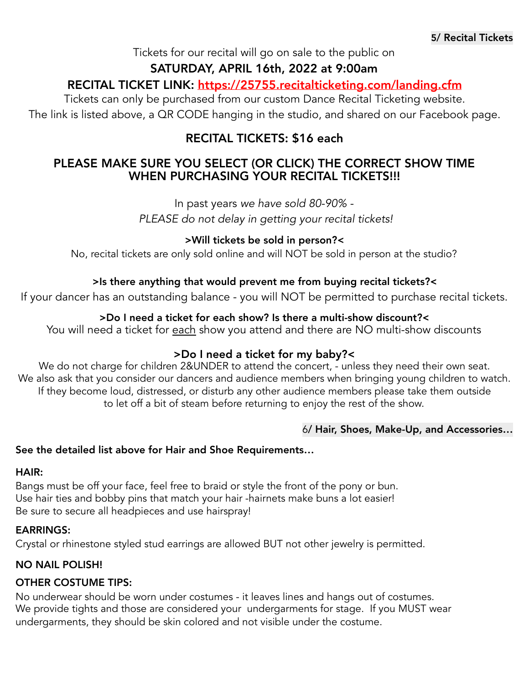Tickets for our recital will go on sale to the public on

#### SATURDAY, APRIL 16th, 2022 at 9:00am

### RECITAL TICKET LINK: https://25755.recitalticketing.com/landing.cfm

Tickets can only be purchased from our custom Dance Recital Ticketing website. The link is listed above, a QR CODE hanging in the studio, and shared on our Facebook page.

## RECITAL TICKETS: \$16 each

#### PLEASE MAKE SURE YOU SELECT (OR CLICK) THE CORRECT SHOW TIME WHEN PURCHASING YOUR RECITAL TICKETS!!!

In past years *we have sold 80-90% -* 

 *PLEASE do not delay in getting your recital tickets!* 

#### >Will tickets be sold in person?<

No, recital tickets are only sold online and will NOT be sold in person at the studio?

#### >Is there anything that would prevent me from buying recital tickets?<

If your dancer has an outstanding balance - you will NOT be permitted to purchase recital tickets.

#### >Do I need a ticket for each show? Is there a multi-show discount?<

You will need a ticket for each show you attend and there are NO multi-show discounts

#### >Do I need a ticket for my baby?<

We do not charge for children 2&UNDER to attend the concert, - unless they need their own seat. We also ask that you consider our dancers and audience members when bringing young children to watch. If they become loud, distressed, or disturb any other audience members please take them outside to let off a bit of steam before returning to enjoy the rest of the show.

#### 6/ Hair, Shoes, Make-Up, and Accessories…

#### See the detailed list above for Hair and Shoe Requirements…

#### HAIR:

Bangs must be off your face, feel free to braid or style the front of the pony or bun. Use hair ties and bobby pins that match your hair -hairnets make buns a lot easier! Be sure to secure all headpieces and use hairspray!

#### EARRINGS:

Crystal or rhinestone styled stud earrings are allowed BUT not other jewelry is permitted.

#### NO NAIL POLISH!

#### OTHER COSTUME TIPS:

No underwear should be worn under costumes - it leaves lines and hangs out of costumes. We provide tights and those are considered your undergarments for stage. If you MUST wear undergarments, they should be skin colored and not visible under the costume.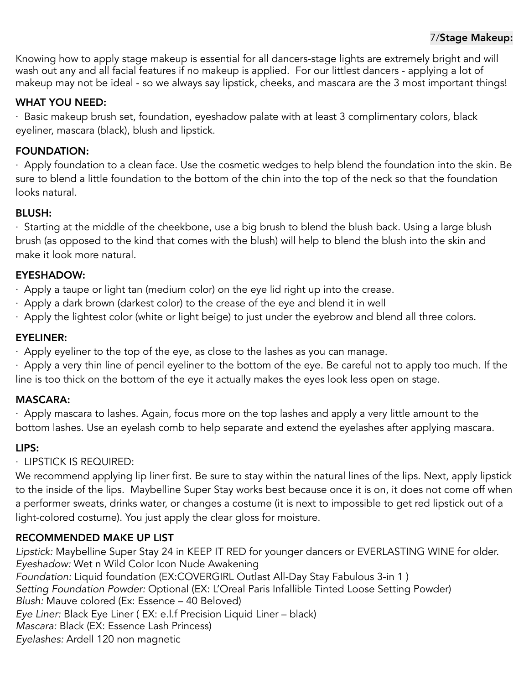Knowing how to apply stage makeup is essential for all dancers-stage lights are extremely bright and will wash out any and all facial features if no makeup is applied. For our littlest dancers - applying a lot of makeup may not be ideal - so we always say lipstick, cheeks, and mascara are the 3 most important things!

#### WHAT YOU NEED:

· Basic makeup brush set, foundation, eyeshadow palate with at least 3 complimentary colors, black eyeliner, mascara (black), blush and lipstick.

#### FOUNDATION:

· Apply foundation to a clean face. Use the cosmetic wedges to help blend the foundation into the skin. Be sure to blend a little foundation to the bottom of the chin into the top of the neck so that the foundation looks natural.

#### BLUSH:

· Starting at the middle of the cheekbone, use a big brush to blend the blush back. Using a large blush brush (as opposed to the kind that comes with the blush) will help to blend the blush into the skin and make it look more natural.

#### EYESHADOW:

· Apply a taupe or light tan (medium color) on the eye lid right up into the crease.

- · Apply a dark brown (darkest color) to the crease of the eye and blend it in well
- · Apply the lightest color (white or light beige) to just under the eyebrow and blend all three colors.

#### EYELINER:

· Apply eyeliner to the top of the eye, as close to the lashes as you can manage.

· Apply a very thin line of pencil eyeliner to the bottom of the eye. Be careful not to apply too much. If the line is too thick on the bottom of the eye it actually makes the eyes look less open on stage.

#### MASCARA:

· Apply mascara to lashes. Again, focus more on the top lashes and apply a very little amount to the bottom lashes. Use an eyelash comb to help separate and extend the eyelashes after applying mascara.

#### LIPS:

#### · LIPSTICK IS REQUIRED:

We recommend applying lip liner first. Be sure to stay within the natural lines of the lips. Next, apply lipstick to the inside of the lips. Maybelline Super Stay works best because once it is on, it does not come off when a performer sweats, drinks water, or changes a costume (it is next to impossible to get red lipstick out of a light-colored costume). You just apply the clear gloss for moisture.

#### RECOMMENDED MAKE UP LIST

*Lipstick:* Maybelline Super Stay 24 in KEEP IT RED for younger dancers or EVERLASTING WINE for older. *Eyeshadow:* Wet n Wild Color Icon Nude Awakening *Foundation:* Liquid foundation (EX:COVERGIRL Outlast All-Day Stay Fabulous 3-in 1 ) *Setting Foundation Powder:* Optional (EX: L'Oreal Paris Infallible Tinted Loose Setting Powder) *Blush:* Mauve colored (Ex: Essence – 40 Beloved) *Eye Liner:* Black Eye Liner ( EX: e.l.f Precision Liquid Liner – black) *Mascara:* Black (EX: Essence Lash Princess) *Eyelashes:* Ardell 120 non magnetic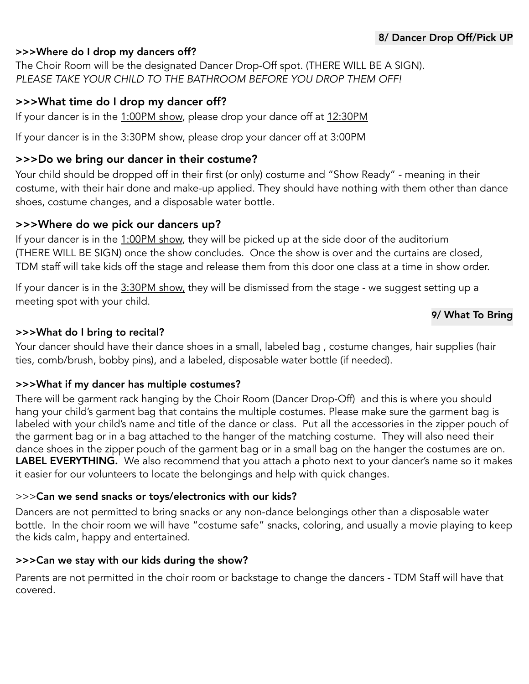#### >>>Where do I drop my dancers off?

The Choir Room will be the designated Dancer Drop-Off spot. (THERE WILL BE A SIGN). *PLEASE TAKE YOUR CHILD TO THE BATHROOM BEFORE YOU DROP THEM OFF!* 

#### >>>What time do I drop my dancer off?

If your dancer is in the 1:00PM show, please drop your dance off at 12:30PM

If your dancer is in the 3:30PM show, please drop your dancer off at 3:00PM

#### >>>Do we bring our dancer in their costume?

Your child should be dropped off in their first (or only) costume and "Show Ready" - meaning in their costume, with their hair done and make-up applied. They should have nothing with them other than dance shoes, costume changes, and a disposable water bottle.

#### >>>Where do we pick our dancers up?

If your dancer is in the 1:00PM show, they will be picked up at the side door of the auditorium (THERE WILL BE SIGN) once the show concludes. Once the show is over and the curtains are closed, TDM staff will take kids off the stage and release them from this door one class at a time in show order.

If your dancer is in the 3:30PM show, they will be dismissed from the stage - we suggest setting up a meeting spot with your child.

#### 9/ What To Bring

#### >>>What do I bring to recital?

Your dancer should have their dance shoes in a small, labeled bag , costume changes, hair supplies (hair ties, comb/brush, bobby pins), and a labeled, disposable water bottle (if needed).

#### >>>What if my dancer has multiple costumes?

There will be garment rack hanging by the Choir Room (Dancer Drop-Off) and this is where you should hang your child's garment bag that contains the multiple costumes. Please make sure the garment bag is labeled with your child's name and title of the dance or class. Put all the accessories in the zipper pouch of the garment bag or in a bag attached to the hanger of the matching costume. They will also need their dance shoes in the zipper pouch of the garment bag or in a small bag on the hanger the costumes are on. LABEL EVERYTHING. We also recommend that you attach a photo next to your dancer's name so it makes it easier for our volunteers to locate the belongings and help with quick changes.

#### >>>Can we send snacks or toys/electronics with our kids?

Dancers are not permitted to bring snacks or any non-dance belongings other than a disposable water bottle. In the choir room we will have "costume safe" snacks, coloring, and usually a movie playing to keep the kids calm, happy and entertained.

#### >>>Can we stay with our kids during the show?

Parents are not permitted in the choir room or backstage to change the dancers - TDM Staff will have that covered.